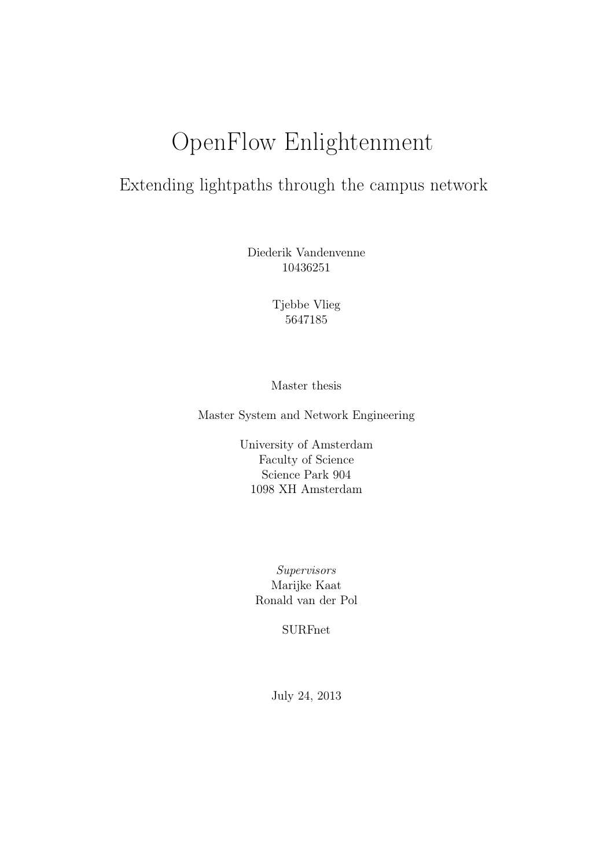# OpenFlow Enlightenment

# Extending lightpaths through the campus network

Diederik Vandenvenne 10436251

> Tjebbe Vlieg 5647185

Master thesis

Master System and Network Engineering

University of Amsterdam Faculty of Science Science Park 904 1098 XH Amsterdam

> Supervisors Marijke Kaat Ronald van der Pol

> > SURFnet

July 24, 2013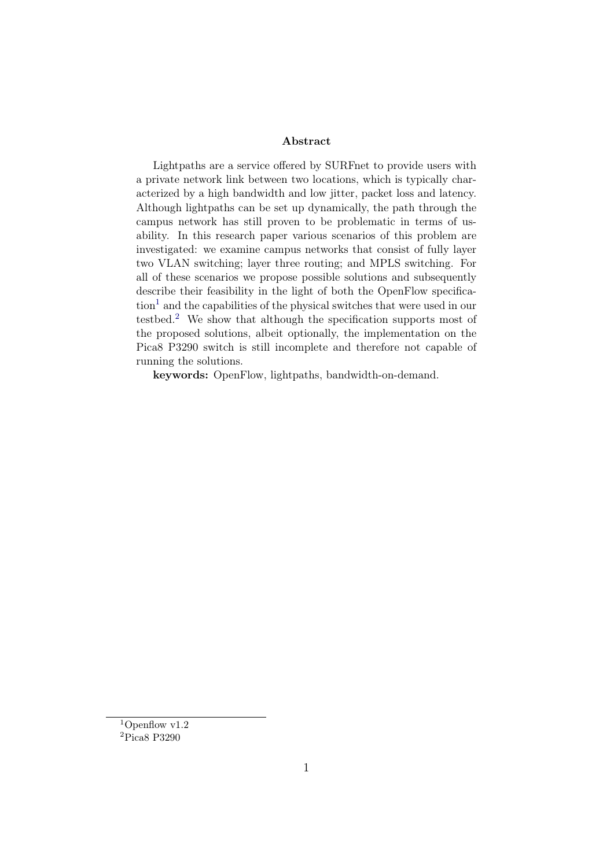#### Abstract

Lightpaths are a service offered by SURFnet to provide users with a private network link between two locations, which is typically characterized by a high bandwidth and low jitter, packet loss and latency. Although lightpaths can be set up dynamically, the path through the campus network has still proven to be problematic in terms of usability. In this research paper various scenarios of this problem are investigated: we examine campus networks that consist of fully layer two VLAN switching; layer three routing; and MPLS switching. For all of these scenarios we propose possible solutions and subsequently describe their feasibility in the light of both the OpenFlow specifica- $\text{tion}^1$  $\text{tion}^1$  and the capabilities of the physical switches that were used in our testbed.[2](#page-1-1) We show that although the specification supports most of the proposed solutions, albeit optionally, the implementation on the Pica8 P3290 switch is still incomplete and therefore not capable of running the solutions.

keywords: OpenFlow, lightpaths, bandwidth-on-demand.

<span id="page-1-0"></span><sup>1</sup>Openflow v1.2

<span id="page-1-1"></span><sup>2</sup>Pica8 P3290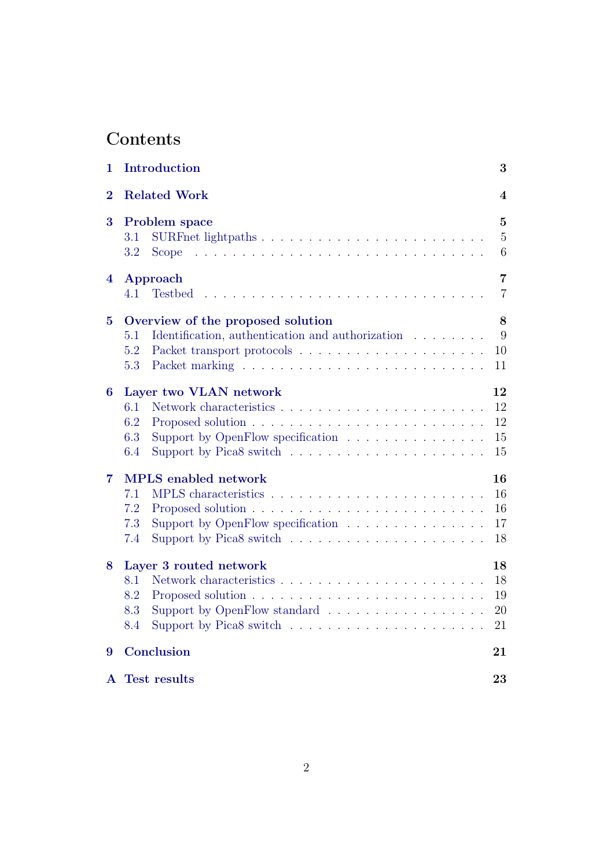# Contents

| 1              | Introduction<br>3                                                                                                                                              |                                       |  |  |  |  |  |  |  |
|----------------|----------------------------------------------------------------------------------------------------------------------------------------------------------------|---------------------------------------|--|--|--|--|--|--|--|
| $\overline{2}$ | <b>Related Work</b><br>4                                                                                                                                       |                                       |  |  |  |  |  |  |  |
| 3              | Problem space<br>3.1<br>3.2<br><b>Scope</b>                                                                                                                    | $\overline{5}$<br>$\overline{5}$<br>6 |  |  |  |  |  |  |  |
| 4              | Approach<br>4.1<br><b>Testbed</b>                                                                                                                              | $\overline{7}$<br>$\overline{7}$      |  |  |  |  |  |  |  |
| 5              | Overview of the proposed solution<br>Identification, authentication and authorization<br>5.1<br>5.2<br>5.3                                                     | 8<br>9<br>10<br>11                    |  |  |  |  |  |  |  |
| 6              | Layer two VLAN network<br>6.1<br>6.2<br>6.3<br>Support by OpenFlow specification<br>Support by Pica8 switch $\ldots \ldots \ldots \ldots \ldots \ldots$<br>6.4 | 12<br>12<br>12<br>$15\,$<br>15        |  |  |  |  |  |  |  |
| 7              | <b>MPLS</b> enabled network<br>7.1<br>7.2<br>7.3<br>Support by OpenFlow specification $\ldots \ldots \ldots \ldots \ldots$<br>7.4                              | 16<br>16<br>16<br>17<br>18            |  |  |  |  |  |  |  |
| 8              | Layer 3 routed network<br>8.1<br>8.2<br>8.3<br>Support by OpenFlow standard<br>8.4                                                                             | 18<br>18<br>19<br>20<br>21            |  |  |  |  |  |  |  |
| 9              | Conclusion<br>21                                                                                                                                               |                                       |  |  |  |  |  |  |  |
|                | A Test results                                                                                                                                                 | 23                                    |  |  |  |  |  |  |  |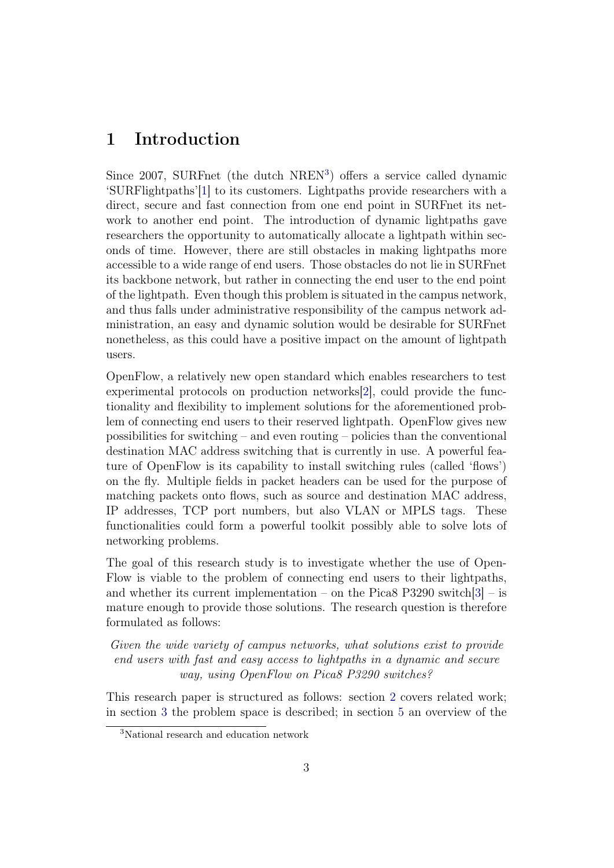### <span id="page-3-0"></span>1 Introduction

Since 2007, SURFnet (the dutch NREN<sup>[3](#page-3-1)</sup>) offers a service called dynamic 'SURFlightpaths'[\[1\]](#page-23-0) to its customers. Lightpaths provide researchers with a direct, secure and fast connection from one end point in SURFnet its network to another end point. The introduction of dynamic lightpaths gave researchers the opportunity to automatically allocate a lightpath within seconds of time. However, there are still obstacles in making lightpaths more accessible to a wide range of end users. Those obstacles do not lie in SURFnet its backbone network, but rather in connecting the end user to the end point of the lightpath. Even though this problem is situated in the campus network, and thus falls under administrative responsibility of the campus network administration, an easy and dynamic solution would be desirable for SURFnet nonetheless, as this could have a positive impact on the amount of lightpath users.

OpenFlow, a relatively new open standard which enables researchers to test experimental protocols on production networks[\[2\]](#page-23-1), could provide the functionality and flexibility to implement solutions for the aforementioned problem of connecting end users to their reserved lightpath. OpenFlow gives new possibilities for switching – and even routing – policies than the conventional destination MAC address switching that is currently in use. A powerful feature of OpenFlow is its capability to install switching rules (called 'flows') on the fly. Multiple fields in packet headers can be used for the purpose of matching packets onto flows, such as source and destination MAC address, IP addresses, TCP port numbers, but also VLAN or MPLS tags. These functionalities could form a powerful toolkit possibly able to solve lots of networking problems.

The goal of this research study is to investigate whether the use of Open-Flow is viable to the problem of connecting end users to their lightpaths, and whether its current implementation – on the Pica8 P3290 switch $[3]$  – is mature enough to provide those solutions. The research question is therefore formulated as follows:

Given the wide variety of campus networks, what solutions exist to provide end users with fast and easy access to lightpaths in a dynamic and secure way, using OpenFlow on Pica8 P3290 switches?

This research paper is structured as follows: section [2](#page-4-0) covers related work; in section [3](#page-5-0) the problem space is described; in section [5](#page-8-0) an overview of the

<span id="page-3-1"></span><sup>3</sup>National research and education network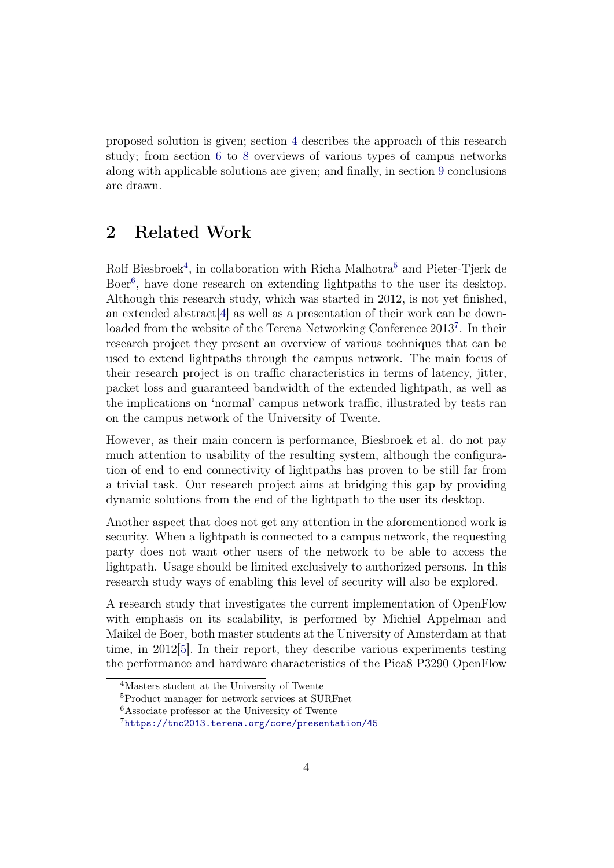proposed solution is given; section [4](#page-7-0) describes the approach of this research study; from section [6](#page-12-0) to [8](#page-18-1) overviews of various types of campus networks along with applicable solutions are given; and finally, in section [9](#page-21-1) conclusions are drawn.

### <span id="page-4-0"></span>2 Related Work

Rolf Biesbroek<sup>[4](#page-4-1)</sup>, in collaboration with Richa Malhotra<sup>[5](#page-4-2)</sup> and Pieter-Tjerk de Boer<sup>[6](#page-4-3)</sup>, have done research on extending lightpaths to the user its desktop. Although this research study, which was started in 2012, is not yet finished, an extended abstract[\[4\]](#page-23-3) as well as a presentation of their work can be down-loaded from the website of the Terena Networking Conference 2013<sup>[7](#page-4-4)</sup>. In their research project they present an overview of various techniques that can be used to extend lightpaths through the campus network. The main focus of their research project is on traffic characteristics in terms of latency, jitter, packet loss and guaranteed bandwidth of the extended lightpath, as well as the implications on 'normal' campus network traffic, illustrated by tests ran on the campus network of the University of Twente.

However, as their main concern is performance, Biesbroek et al. do not pay much attention to usability of the resulting system, although the configuration of end to end connectivity of lightpaths has proven to be still far from a trivial task. Our research project aims at bridging this gap by providing dynamic solutions from the end of the lightpath to the user its desktop.

Another aspect that does not get any attention in the aforementioned work is security. When a lightpath is connected to a campus network, the requesting party does not want other users of the network to be able to access the lightpath. Usage should be limited exclusively to authorized persons. In this research study ways of enabling this level of security will also be explored.

A research study that investigates the current implementation of OpenFlow with emphasis on its scalability, is performed by Michiel Appelman and Maikel de Boer, both master students at the University of Amsterdam at that time, in 2012[\[5\]](#page-23-4). In their report, they describe various experiments testing the performance and hardware characteristics of the Pica8 P3290 OpenFlow

<span id="page-4-1"></span><sup>4</sup>Masters student at the University of Twente

<span id="page-4-2"></span><sup>5</sup>Product manager for network services at SURFnet

<span id="page-4-3"></span><sup>6</sup>Associate professor at the University of Twente

<span id="page-4-4"></span><sup>7</sup><https://tnc2013.terena.org/core/presentation/45>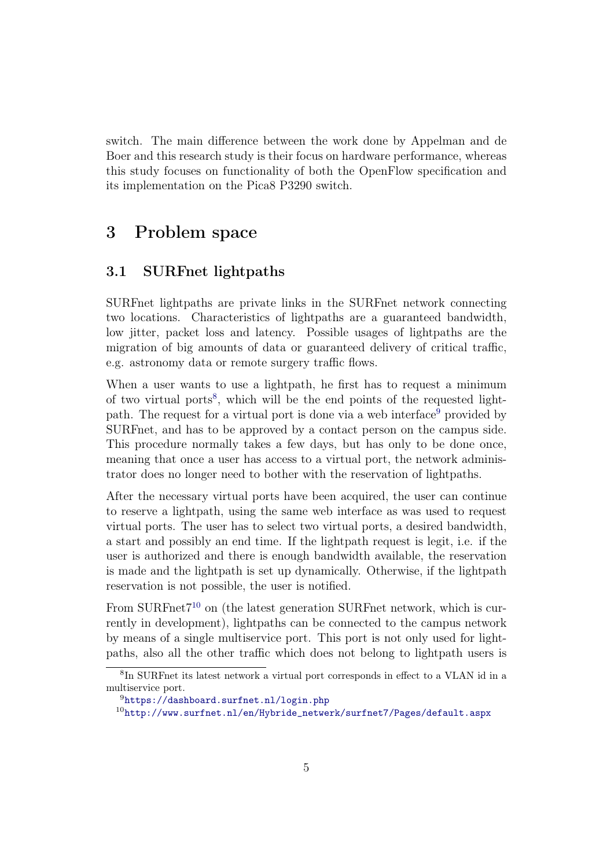switch. The main difference between the work done by Appelman and de Boer and this research study is their focus on hardware performance, whereas this study focuses on functionality of both the OpenFlow specification and its implementation on the Pica8 P3290 switch.

### <span id="page-5-0"></span>3 Problem space

#### <span id="page-5-1"></span>3.1 SURFnet lightpaths

SURFnet lightpaths are private links in the SURFnet network connecting two locations. Characteristics of lightpaths are a guaranteed bandwidth, low jitter, packet loss and latency. Possible usages of lightpaths are the migration of big amounts of data or guaranteed delivery of critical traffic, e.g. astronomy data or remote surgery traffic flows.

When a user wants to use a lightpath, he first has to request a minimum of two virtual ports<sup>[8](#page-5-2)</sup>, which will be the end points of the requested light-path. The request for a virtual port is done via a web interface<sup>[9](#page-5-3)</sup> provided by SURFnet, and has to be approved by a contact person on the campus side. This procedure normally takes a few days, but has only to be done once, meaning that once a user has access to a virtual port, the network administrator does no longer need to bother with the reservation of lightpaths.

After the necessary virtual ports have been acquired, the user can continue to reserve a lightpath, using the same web interface as was used to request virtual ports. The user has to select two virtual ports, a desired bandwidth, a start and possibly an end time. If the lightpath request is legit, i.e. if the user is authorized and there is enough bandwidth available, the reservation is made and the lightpath is set up dynamically. Otherwise, if the lightpath reservation is not possible, the user is notified.

From SURFnet $7^{10}$  $7^{10}$  $7^{10}$  on (the latest generation SURFnet network, which is currently in development), lightpaths can be connected to the campus network by means of a single multiservice port. This port is not only used for lightpaths, also all the other traffic which does not belong to lightpath users is

<span id="page-5-2"></span><sup>8</sup> In SURFnet its latest network a virtual port corresponds in effect to a VLAN id in a multiservice port.

<span id="page-5-3"></span> $^{9}$ <https://dashboard.surfnet.nl/login.php>

<span id="page-5-4"></span> $^{10}$ [http://www.surfnet.nl/en/Hybride\\_netwerk/surfnet7/Pages/default.aspx](http://www.surfnet.nl/en/Hybride_netwerk/surfnet7/Pages/default.aspx)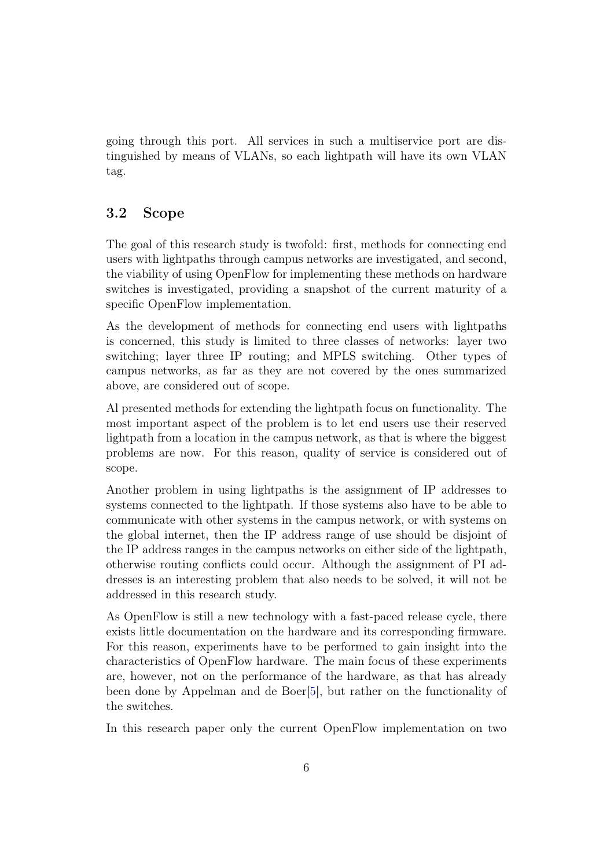going through this port. All services in such a multiservice port are distinguished by means of VLANs, so each lightpath will have its own VLAN tag.

#### <span id="page-6-0"></span>3.2 Scope

The goal of this research study is twofold: first, methods for connecting end users with lightpaths through campus networks are investigated, and second, the viability of using OpenFlow for implementing these methods on hardware switches is investigated, providing a snapshot of the current maturity of a specific OpenFlow implementation.

As the development of methods for connecting end users with lightpaths is concerned, this study is limited to three classes of networks: layer two switching; layer three IP routing; and MPLS switching. Other types of campus networks, as far as they are not covered by the ones summarized above, are considered out of scope.

Al presented methods for extending the lightpath focus on functionality. The most important aspect of the problem is to let end users use their reserved lightpath from a location in the campus network, as that is where the biggest problems are now. For this reason, quality of service is considered out of scope.

Another problem in using lightpaths is the assignment of IP addresses to systems connected to the lightpath. If those systems also have to be able to communicate with other systems in the campus network, or with systems on the global internet, then the IP address range of use should be disjoint of the IP address ranges in the campus networks on either side of the lightpath, otherwise routing conflicts could occur. Although the assignment of PI addresses is an interesting problem that also needs to be solved, it will not be addressed in this research study.

As OpenFlow is still a new technology with a fast-paced release cycle, there exists little documentation on the hardware and its corresponding firmware. For this reason, experiments have to be performed to gain insight into the characteristics of OpenFlow hardware. The main focus of these experiments are, however, not on the performance of the hardware, as that has already been done by Appelman and de Boer[\[5\]](#page-23-4), but rather on the functionality of the switches.

In this research paper only the current OpenFlow implementation on two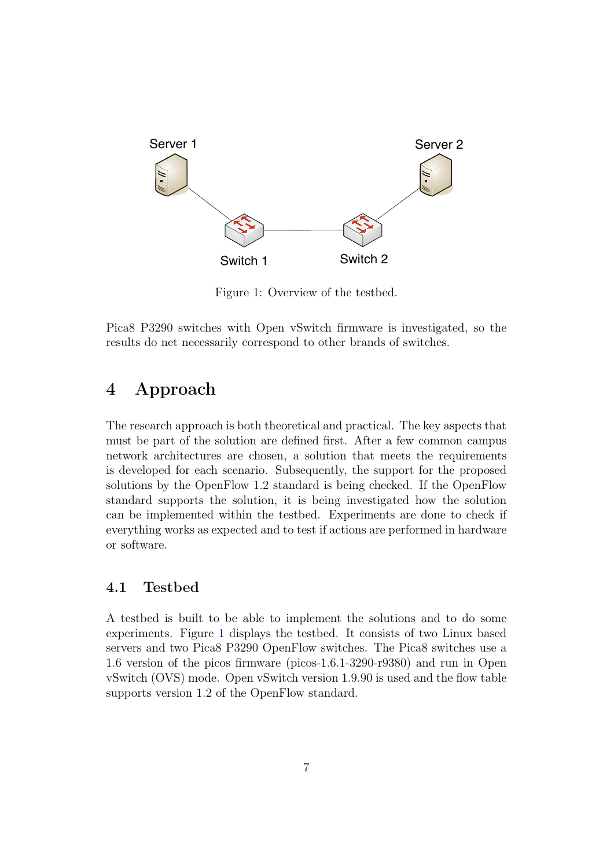

<span id="page-7-2"></span>Figure 1: Overview of the testbed.

Pica8 P3290 switches with Open vSwitch firmware is investigated, so the results do net necessarily correspond to other brands of switches.

### <span id="page-7-0"></span>4 Approach

The research approach is both theoretical and practical. The key aspects that must be part of the solution are defined first. After a few common campus network architectures are chosen, a solution that meets the requirements is developed for each scenario. Subsequently, the support for the proposed solutions by the OpenFlow 1.2 standard is being checked. If the OpenFlow standard supports the solution, it is being investigated how the solution can be implemented within the testbed. Experiments are done to check if everything works as expected and to test if actions are performed in hardware or software.

#### <span id="page-7-1"></span>4.1 Testbed

A testbed is built to be able to implement the solutions and to do some experiments. Figure [1](#page-7-2) displays the testbed. It consists of two Linux based servers and two Pica8 P3290 OpenFlow switches. The Pica8 switches use a 1.6 version of the picos firmware (picos-1.6.1-3290-r9380) and run in Open vSwitch (OVS) mode. Open vSwitch version 1.9.90 is used and the flow table supports version 1.2 of the OpenFlow standard.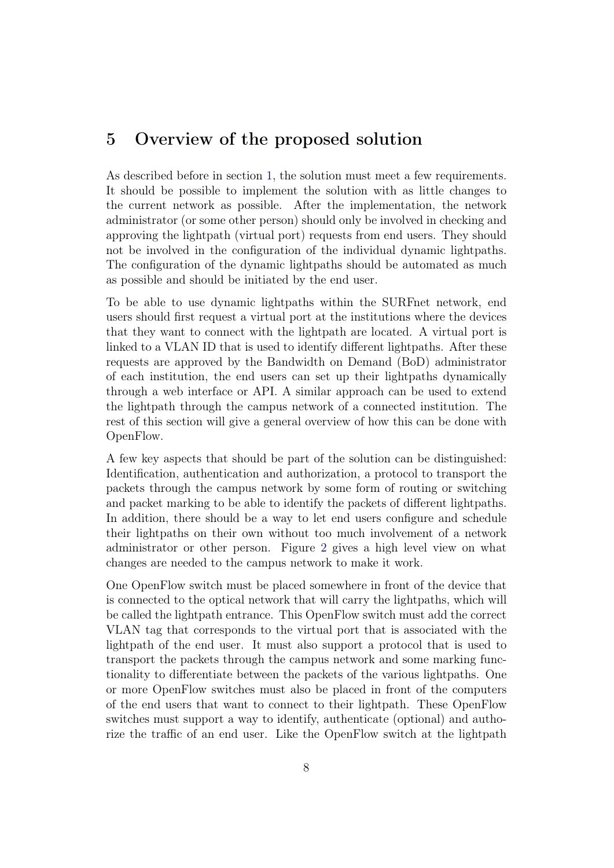### <span id="page-8-0"></span>5 Overview of the proposed solution

As described before in section [1,](#page-3-0) the solution must meet a few requirements. It should be possible to implement the solution with as little changes to the current network as possible. After the implementation, the network administrator (or some other person) should only be involved in checking and approving the lightpath (virtual port) requests from end users. They should not be involved in the configuration of the individual dynamic lightpaths. The configuration of the dynamic lightpaths should be automated as much as possible and should be initiated by the end user.

To be able to use dynamic lightpaths within the SURFnet network, end users should first request a virtual port at the institutions where the devices that they want to connect with the lightpath are located. A virtual port is linked to a VLAN ID that is used to identify different lightpaths. After these requests are approved by the Bandwidth on Demand (BoD) administrator of each institution, the end users can set up their lightpaths dynamically through a web interface or API. A similar approach can be used to extend the lightpath through the campus network of a connected institution. The rest of this section will give a general overview of how this can be done with OpenFlow.

A few key aspects that should be part of the solution can be distinguished: Identification, authentication and authorization, a protocol to transport the packets through the campus network by some form of routing or switching and packet marking to be able to identify the packets of different lightpaths. In addition, there should be a way to let end users configure and schedule their lightpaths on their own without too much involvement of a network administrator or other person. Figure [2](#page-9-1) gives a high level view on what changes are needed to the campus network to make it work.

One OpenFlow switch must be placed somewhere in front of the device that is connected to the optical network that will carry the lightpaths, which will be called the lightpath entrance. This OpenFlow switch must add the correct VLAN tag that corresponds to the virtual port that is associated with the lightpath of the end user. It must also support a protocol that is used to transport the packets through the campus network and some marking functionality to differentiate between the packets of the various lightpaths. One or more OpenFlow switches must also be placed in front of the computers of the end users that want to connect to their lightpath. These OpenFlow switches must support a way to identify, authenticate (optional) and authorize the traffic of an end user. Like the OpenFlow switch at the lightpath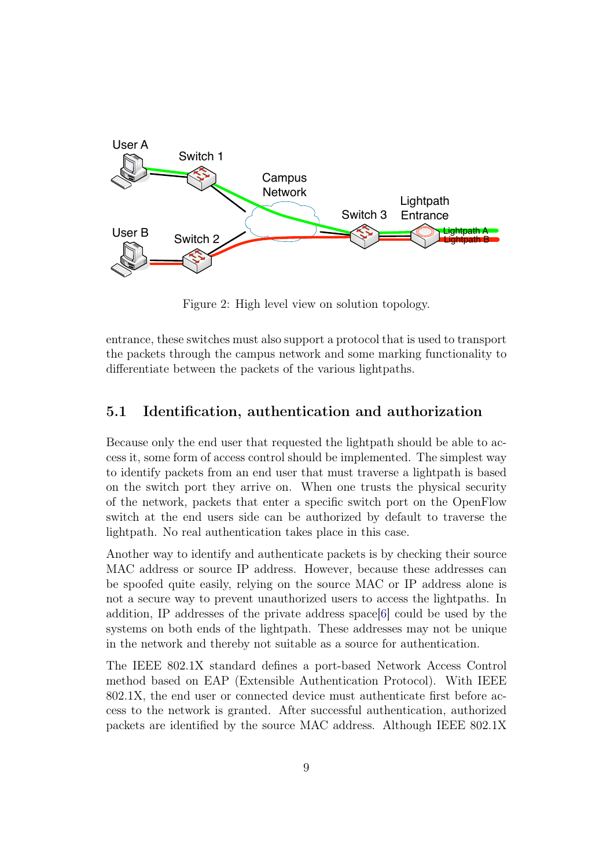

<span id="page-9-1"></span>Figure 2: High level view on solution topology.

entrance, these switches must also support a protocol that is used to transport the packets through the campus network and some marking functionality to differentiate between the packets of the various lightpaths.

#### <span id="page-9-0"></span>5.1 Identification, authentication and authorization

Because only the end user that requested the lightpath should be able to access it, some form of access control should be implemented. The simplest way to identify packets from an end user that must traverse a lightpath is based on the switch port they arrive on. When one trusts the physical security of the network, packets that enter a specific switch port on the OpenFlow switch at the end users side can be authorized by default to traverse the lightpath. No real authentication takes place in this case.

Another way to identify and authenticate packets is by checking their source MAC address or source IP address. However, because these addresses can be spoofed quite easily, relying on the source MAC or IP address alone is not a secure way to prevent unauthorized users to access the lightpaths. In addition, IP addresses of the private address space[\[6\]](#page-23-5) could be used by the systems on both ends of the lightpath. These addresses may not be unique in the network and thereby not suitable as a source for authentication.

The IEEE 802.1X standard defines a port-based Network Access Control method based on EAP (Extensible Authentication Protocol). With IEEE 802.1X, the end user or connected device must authenticate first before access to the network is granted. After successful authentication, authorized packets are identified by the source MAC address. Although IEEE 802.1X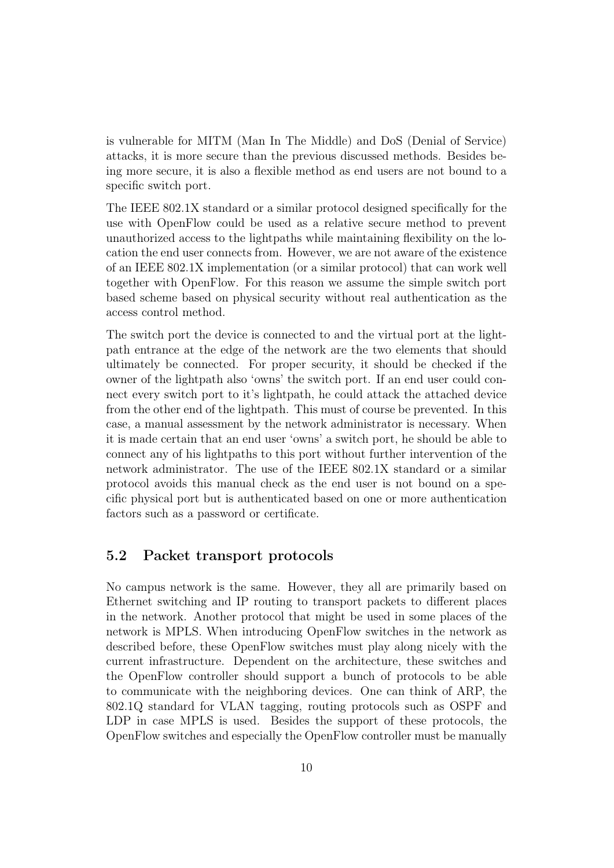is vulnerable for MITM (Man In The Middle) and DoS (Denial of Service) attacks, it is more secure than the previous discussed methods. Besides being more secure, it is also a flexible method as end users are not bound to a specific switch port.

The IEEE 802.1X standard or a similar protocol designed specifically for the use with OpenFlow could be used as a relative secure method to prevent unauthorized access to the lightpaths while maintaining flexibility on the location the end user connects from. However, we are not aware of the existence of an IEEE 802.1X implementation (or a similar protocol) that can work well together with OpenFlow. For this reason we assume the simple switch port based scheme based on physical security without real authentication as the access control method.

The switch port the device is connected to and the virtual port at the lightpath entrance at the edge of the network are the two elements that should ultimately be connected. For proper security, it should be checked if the owner of the lightpath also 'owns' the switch port. If an end user could connect every switch port to it's lightpath, he could attack the attached device from the other end of the lightpath. This must of course be prevented. In this case, a manual assessment by the network administrator is necessary. When it is made certain that an end user 'owns' a switch port, he should be able to connect any of his lightpaths to this port without further intervention of the network administrator. The use of the IEEE 802.1X standard or a similar protocol avoids this manual check as the end user is not bound on a specific physical port but is authenticated based on one or more authentication factors such as a password or certificate.

#### <span id="page-10-0"></span>5.2 Packet transport protocols

No campus network is the same. However, they all are primarily based on Ethernet switching and IP routing to transport packets to different places in the network. Another protocol that might be used in some places of the network is MPLS. When introducing OpenFlow switches in the network as described before, these OpenFlow switches must play along nicely with the current infrastructure. Dependent on the architecture, these switches and the OpenFlow controller should support a bunch of protocols to be able to communicate with the neighboring devices. One can think of ARP, the 802.1Q standard for VLAN tagging, routing protocols such as OSPF and LDP in case MPLS is used. Besides the support of these protocols, the OpenFlow switches and especially the OpenFlow controller must be manually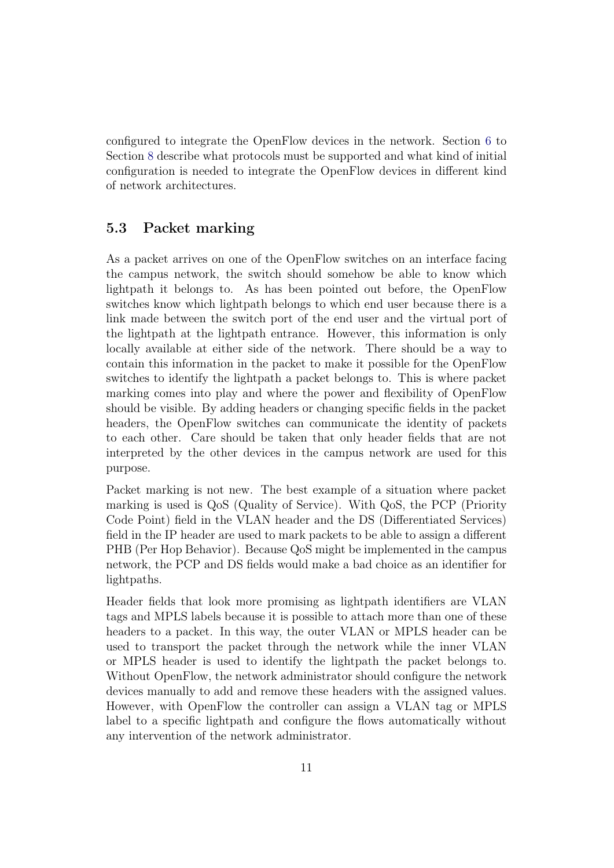configured to integrate the OpenFlow devices in the network. Section [6](#page-12-0) to Section [8](#page-18-1) describe what protocols must be supported and what kind of initial configuration is needed to integrate the OpenFlow devices in different kind of network architectures.

#### <span id="page-11-0"></span>5.3 Packet marking

As a packet arrives on one of the OpenFlow switches on an interface facing the campus network, the switch should somehow be able to know which lightpath it belongs to. As has been pointed out before, the OpenFlow switches know which lightpath belongs to which end user because there is a link made between the switch port of the end user and the virtual port of the lightpath at the lightpath entrance. However, this information is only locally available at either side of the network. There should be a way to contain this information in the packet to make it possible for the OpenFlow switches to identify the lightpath a packet belongs to. This is where packet marking comes into play and where the power and flexibility of OpenFlow should be visible. By adding headers or changing specific fields in the packet headers, the OpenFlow switches can communicate the identity of packets to each other. Care should be taken that only header fields that are not interpreted by the other devices in the campus network are used for this purpose.

Packet marking is not new. The best example of a situation where packet marking is used is QoS (Quality of Service). With QoS, the PCP (Priority Code Point) field in the VLAN header and the DS (Differentiated Services) field in the IP header are used to mark packets to be able to assign a different PHB (Per Hop Behavior). Because QoS might be implemented in the campus network, the PCP and DS fields would make a bad choice as an identifier for lightpaths.

Header fields that look more promising as lightpath identifiers are VLAN tags and MPLS labels because it is possible to attach more than one of these headers to a packet. In this way, the outer VLAN or MPLS header can be used to transport the packet through the network while the inner VLAN or MPLS header is used to identify the lightpath the packet belongs to. Without OpenFlow, the network administrator should configure the network devices manually to add and remove these headers with the assigned values. However, with OpenFlow the controller can assign a VLAN tag or MPLS label to a specific lightpath and configure the flows automatically without any intervention of the network administrator.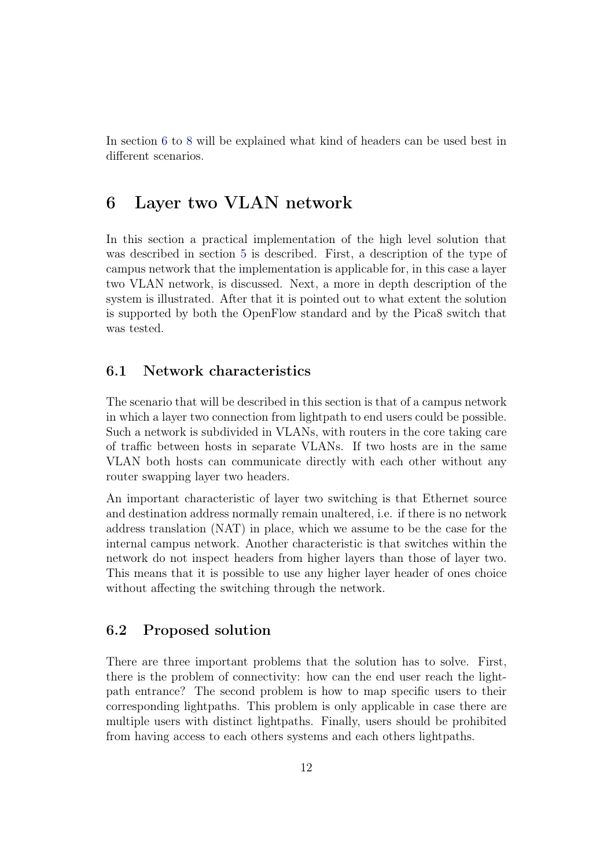In section [6](#page-12-0) to [8](#page-18-1) will be explained what kind of headers can be used best in different scenarios.

### <span id="page-12-0"></span>6 Layer two VLAN network

In this section a practical implementation of the high level solution that was described in section [5](#page-8-0) is described. First, a description of the type of campus network that the implementation is applicable for, in this case a layer two VLAN network, is discussed. Next, a more in depth description of the system is illustrated. After that it is pointed out to what extent the solution is supported by both the OpenFlow standard and by the Pica8 switch that was tested.

#### <span id="page-12-1"></span>6.1 Network characteristics

The scenario that will be described in this section is that of a campus network in which a layer two connection from lightpath to end users could be possible. Such a network is subdivided in VLANs, with routers in the core taking care of traffic between hosts in separate VLANs. If two hosts are in the same VLAN both hosts can communicate directly with each other without any router swapping layer two headers.

An important characteristic of layer two switching is that Ethernet source and destination address normally remain unaltered, i.e. if there is no network address translation (NAT) in place, which we assume to be the case for the internal campus network. Another characteristic is that switches within the network do not inspect headers from higher layers than those of layer two. This means that it is possible to use any higher layer header of ones choice without affecting the switching through the network.

#### <span id="page-12-2"></span>6.2 Proposed solution

There are three important problems that the solution has to solve. First, there is the problem of connectivity: how can the end user reach the lightpath entrance? The second problem is how to map specific users to their corresponding lightpaths. This problem is only applicable in case there are multiple users with distinct lightpaths. Finally, users should be prohibited from having access to each others systems and each others lightpaths.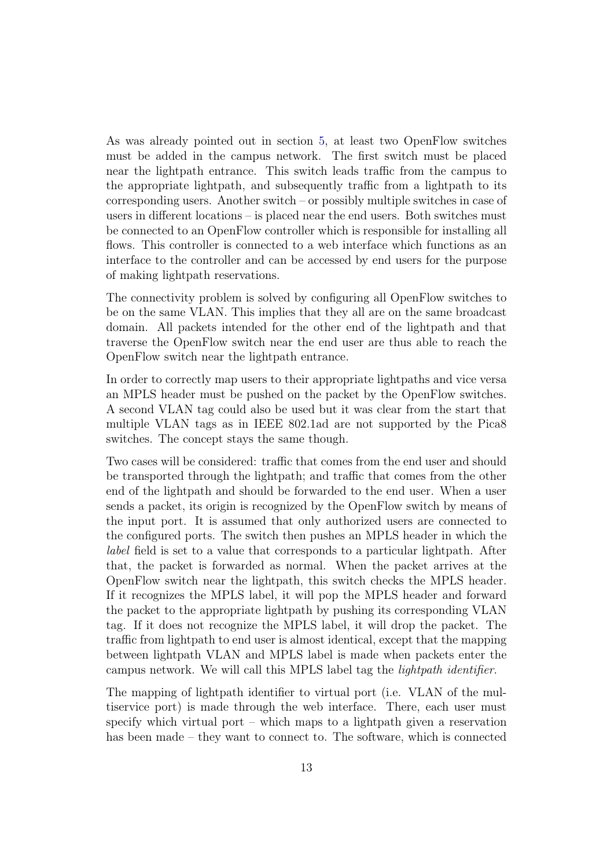As was already pointed out in section [5,](#page-8-0) at least two OpenFlow switches must be added in the campus network. The first switch must be placed near the lightpath entrance. This switch leads traffic from the campus to the appropriate lightpath, and subsequently traffic from a lightpath to its corresponding users. Another switch – or possibly multiple switches in case of users in different locations – is placed near the end users. Both switches must be connected to an OpenFlow controller which is responsible for installing all flows. This controller is connected to a web interface which functions as an interface to the controller and can be accessed by end users for the purpose of making lightpath reservations.

The connectivity problem is solved by configuring all OpenFlow switches to be on the same VLAN. This implies that they all are on the same broadcast domain. All packets intended for the other end of the lightpath and that traverse the OpenFlow switch near the end user are thus able to reach the OpenFlow switch near the lightpath entrance.

In order to correctly map users to their appropriate lightpaths and vice versa an MPLS header must be pushed on the packet by the OpenFlow switches. A second VLAN tag could also be used but it was clear from the start that multiple VLAN tags as in IEEE 802.1ad are not supported by the Pica8 switches. The concept stays the same though.

Two cases will be considered: traffic that comes from the end user and should be transported through the lightpath; and traffic that comes from the other end of the lightpath and should be forwarded to the end user. When a user sends a packet, its origin is recognized by the OpenFlow switch by means of the input port. It is assumed that only authorized users are connected to the configured ports. The switch then pushes an MPLS header in which the label field is set to a value that corresponds to a particular lightpath. After that, the packet is forwarded as normal. When the packet arrives at the OpenFlow switch near the lightpath, this switch checks the MPLS header. If it recognizes the MPLS label, it will pop the MPLS header and forward the packet to the appropriate lightpath by pushing its corresponding VLAN tag. If it does not recognize the MPLS label, it will drop the packet. The traffic from lightpath to end user is almost identical, except that the mapping between lightpath VLAN and MPLS label is made when packets enter the campus network. We will call this MPLS label tag the lightpath identifier.

The mapping of lightpath identifier to virtual port (i.e. VLAN of the multiservice port) is made through the web interface. There, each user must specify which virtual port – which maps to a lightpath given a reservation has been made – they want to connect to. The software, which is connected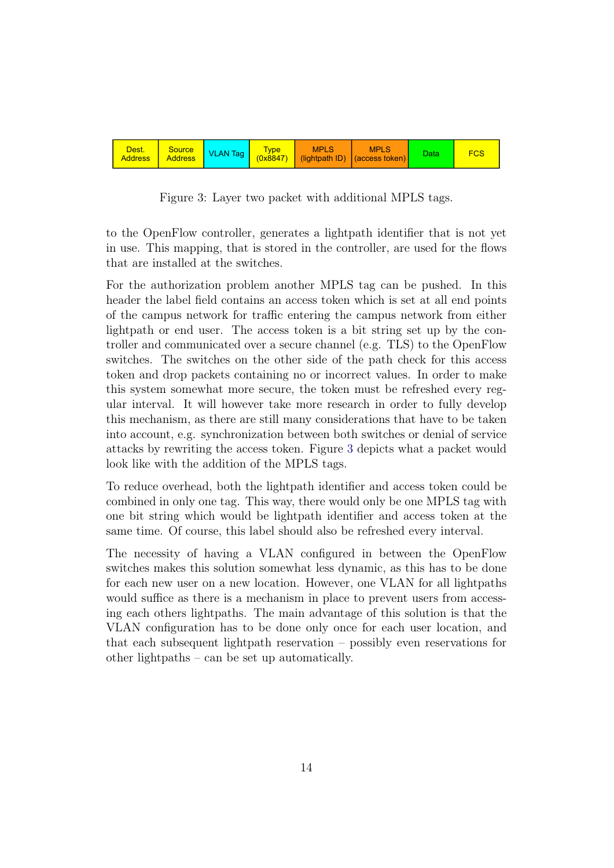

<span id="page-14-0"></span>Figure 3: Layer two packet with additional MPLS tags.

to the OpenFlow controller, generates a lightpath identifier that is not yet in use. This mapping, that is stored in the controller, are used for the flows that are installed at the switches.

For the authorization problem another MPLS tag can be pushed. In this header the label field contains an access token which is set at all end points of the campus network for traffic entering the campus network from either lightpath or end user. The access token is a bit string set up by the controller and communicated over a secure channel (e.g. TLS) to the OpenFlow switches. The switches on the other side of the path check for this access token and drop packets containing no or incorrect values. In order to make this system somewhat more secure, the token must be refreshed every regular interval. It will however take more research in order to fully develop this mechanism, as there are still many considerations that have to be taken into account, e.g. synchronization between both switches or denial of service attacks by rewriting the access token. Figure [3](#page-14-0) depicts what a packet would look like with the addition of the MPLS tags.

 To reduce overhead, both the lightpath identifier and access token could be combined in only one tag. This way, there would only be one MPLS tag with one bit string which would be lightpath identifier and access token at the same time. Of course, this label should also be refreshed every interval.

The necessity of having a VLAN configured in between the OpenFlow switches makes this solution somewhat less dynamic, as this has to be done for each new user on a new location. However, one VLAN for all lightpaths would suffice as there is a mechanism in place to prevent users from accessing each others lightpaths. The main advantage of this solution is that the VLAN configuration has to be done only once for each user location, and that each subsequent lightpath reservation – possibly even reservations for other lightpaths – can be set up automatically.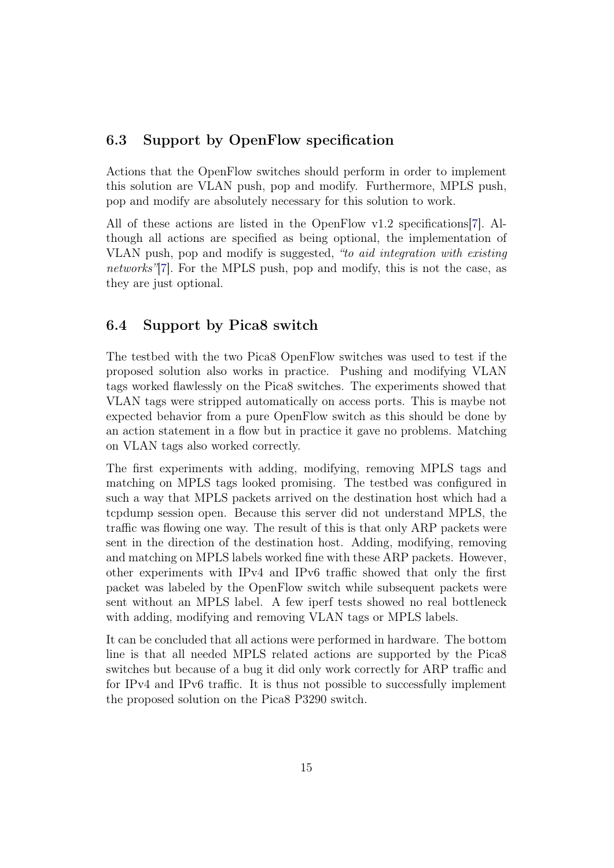#### <span id="page-15-0"></span>6.3 Support by OpenFlow specification

Actions that the OpenFlow switches should perform in order to implement this solution are VLAN push, pop and modify. Furthermore, MPLS push, pop and modify are absolutely necessary for this solution to work.

All of these actions are listed in the OpenFlow v1.2 specifications[\[7\]](#page-23-6). Although all actions are specified as being optional, the implementation of VLAN push, pop and modify is suggested, "to aid integration with existing networks"[\[7\]](#page-23-6). For the MPLS push, pop and modify, this is not the case, as they are just optional.

#### <span id="page-15-1"></span>6.4 Support by Pica8 switch

The testbed with the two Pica8 OpenFlow switches was used to test if the proposed solution also works in practice. Pushing and modifying VLAN tags worked flawlessly on the Pica8 switches. The experiments showed that VLAN tags were stripped automatically on access ports. This is maybe not expected behavior from a pure OpenFlow switch as this should be done by an action statement in a flow but in practice it gave no problems. Matching on VLAN tags also worked correctly.

The first experiments with adding, modifying, removing MPLS tags and matching on MPLS tags looked promising. The testbed was configured in such a way that MPLS packets arrived on the destination host which had a tcpdump session open. Because this server did not understand MPLS, the traffic was flowing one way. The result of this is that only ARP packets were sent in the direction of the destination host. Adding, modifying, removing and matching on MPLS labels worked fine with these ARP packets. However, other experiments with IPv4 and IPv6 traffic showed that only the first packet was labeled by the OpenFlow switch while subsequent packets were sent without an MPLS label. A few iperf tests showed no real bottleneck with adding, modifying and removing VLAN tags or MPLS labels.

It can be concluded that all actions were performed in hardware. The bottom line is that all needed MPLS related actions are supported by the Pica8 switches but because of a bug it did only work correctly for ARP traffic and for IPv4 and IPv6 traffic. It is thus not possible to successfully implement the proposed solution on the Pica8 P3290 switch.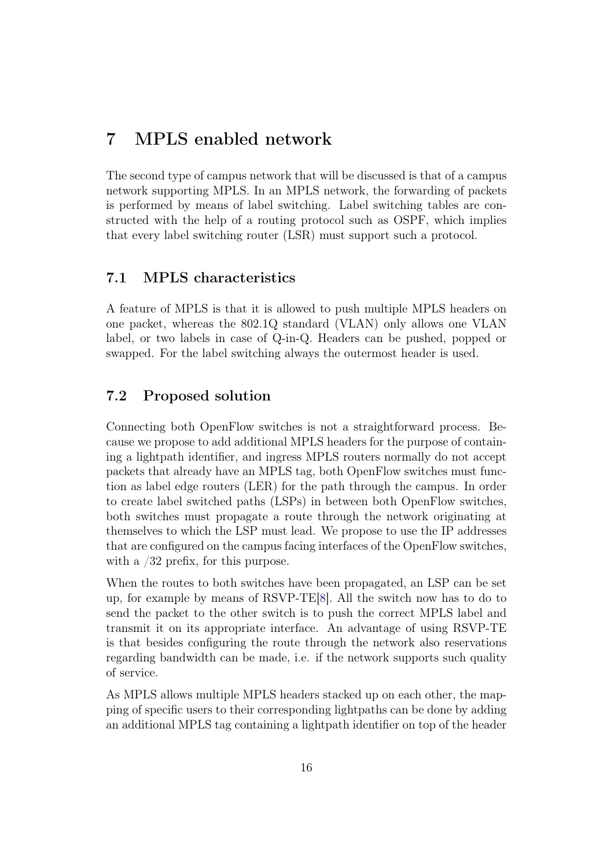### <span id="page-16-0"></span>7 MPLS enabled network

The second type of campus network that will be discussed is that of a campus network supporting MPLS. In an MPLS network, the forwarding of packets is performed by means of label switching. Label switching tables are constructed with the help of a routing protocol such as OSPF, which implies that every label switching router (LSR) must support such a protocol.

#### <span id="page-16-1"></span>7.1 MPLS characteristics

A feature of MPLS is that it is allowed to push multiple MPLS headers on one packet, whereas the 802.1Q standard (VLAN) only allows one VLAN label, or two labels in case of Q-in-Q. Headers can be pushed, popped or swapped. For the label switching always the outermost header is used.

#### <span id="page-16-2"></span>7.2 Proposed solution

Connecting both OpenFlow switches is not a straightforward process. Because we propose to add additional MPLS headers for the purpose of containing a lightpath identifier, and ingress MPLS routers normally do not accept packets that already have an MPLS tag, both OpenFlow switches must function as label edge routers (LER) for the path through the campus. In order to create label switched paths (LSPs) in between both OpenFlow switches, both switches must propagate a route through the network originating at themselves to which the LSP must lead. We propose to use the IP addresses that are configured on the campus facing interfaces of the OpenFlow switches, with a  $/32$  prefix, for this purpose.

When the routes to both switches have been propagated, an LSP can be set up, for example by means of RSVP-TE[\[8\]](#page-23-7). All the switch now has to do to send the packet to the other switch is to push the correct MPLS label and transmit it on its appropriate interface. An advantage of using RSVP-TE is that besides configuring the route through the network also reservations regarding bandwidth can be made, i.e. if the network supports such quality of service.

As MPLS allows multiple MPLS headers stacked up on each other, the mapping of specific users to their corresponding lightpaths can be done by adding an additional MPLS tag containing a lightpath identifier on top of the header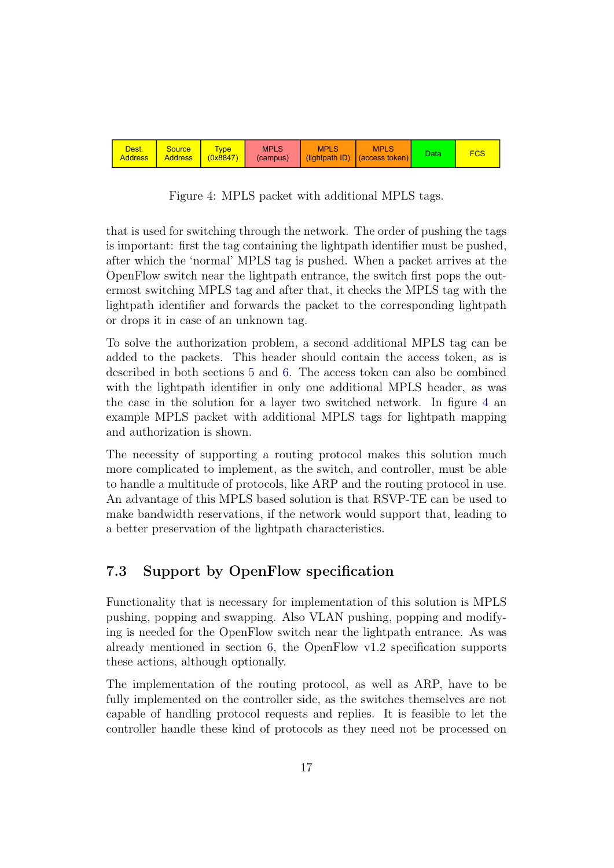

<span id="page-17-1"></span>Figure 4: MPLS packet with additional MPLS tags.

that is used for switching through the network. The order of pushing the tags is important: first the tag containing the lightpath identifier must be pushed, after which the 'normal' MPLS tag is pushed. When a packet arrives at the OpenFlow switch near the lightpath entrance, the switch first pops the outermost switching MPLS tag and after that, it checks the MPLS tag with the lightpath identifier and forwards the packet to the corresponding lightpath or drops it in case of an unknown tag.

To solve the authorization problem, a second additional MPLS tag can be added to the packets. This header should contain the access token, as is described in both sections [5](#page-8-0) and [6.](#page-12-0) The access token can also be combined with the lightpath identifier in only one additional MPLS header, as was the case in the solution for a layer two switched network. In figure [4](#page-17-1) an example MPLS packet with additional MPLS tags for lightpath mapping and authorization is shown.

 to handle a multitude of protocols, like ARP and the routing protocol in use. The necessity of supporting a routing protocol makes this solution much more complicated to implement, as the switch, and controller, must be able An advantage of this MPLS based solution is that RSVP-TE can be used to make bandwidth reservations, if the network would support that, leading to a better preservation of the lightpath characteristics.

#### <span id="page-17-0"></span>7.3 Support by OpenFlow specification

Functionality that is necessary for implementation of this solution is MPLS pushing, popping and swapping. Also VLAN pushing, popping and modifying is needed for the OpenFlow switch near the lightpath entrance. As was already mentioned in section [6,](#page-12-0) the OpenFlow v1.2 specification supports these actions, although optionally.

The implementation of the routing protocol, as well as ARP, have to be fully implemented on the controller side, as the switches themselves are not capable of handling protocol requests and replies. It is feasible to let the controller handle these kind of protocols as they need not be processed on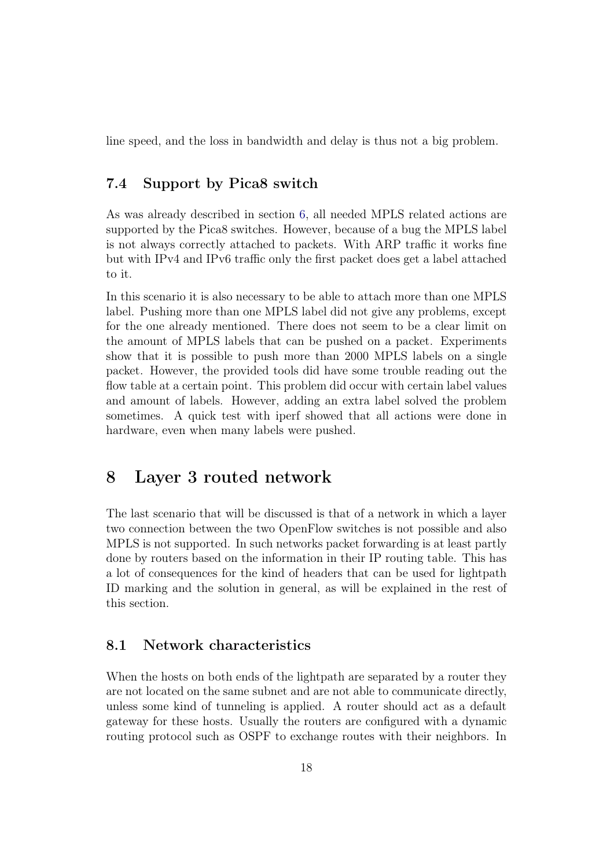line speed, and the loss in bandwidth and delay is thus not a big problem.

#### <span id="page-18-0"></span>7.4 Support by Pica8 switch

As was already described in section [6,](#page-12-0) all needed MPLS related actions are supported by the Pica8 switches. However, because of a bug the MPLS label is not always correctly attached to packets. With ARP traffic it works fine but with IPv4 and IPv6 traffic only the first packet does get a label attached to it.

In this scenario it is also necessary to be able to attach more than one MPLS label. Pushing more than one MPLS label did not give any problems, except for the one already mentioned. There does not seem to be a clear limit on the amount of MPLS labels that can be pushed on a packet. Experiments show that it is possible to push more than 2000 MPLS labels on a single packet. However, the provided tools did have some trouble reading out the flow table at a certain point. This problem did occur with certain label values and amount of labels. However, adding an extra label solved the problem sometimes. A quick test with iperf showed that all actions were done in hardware, even when many labels were pushed.

### <span id="page-18-1"></span>8 Layer 3 routed network

The last scenario that will be discussed is that of a network in which a layer two connection between the two OpenFlow switches is not possible and also MPLS is not supported. In such networks packet forwarding is at least partly done by routers based on the information in their IP routing table. This has a lot of consequences for the kind of headers that can be used for lightpath ID marking and the solution in general, as will be explained in the rest of this section.

#### <span id="page-18-2"></span>8.1 Network characteristics

When the hosts on both ends of the lightpath are separated by a router they are not located on the same subnet and are not able to communicate directly, unless some kind of tunneling is applied. A router should act as a default gateway for these hosts. Usually the routers are configured with a dynamic routing protocol such as OSPF to exchange routes with their neighbors. In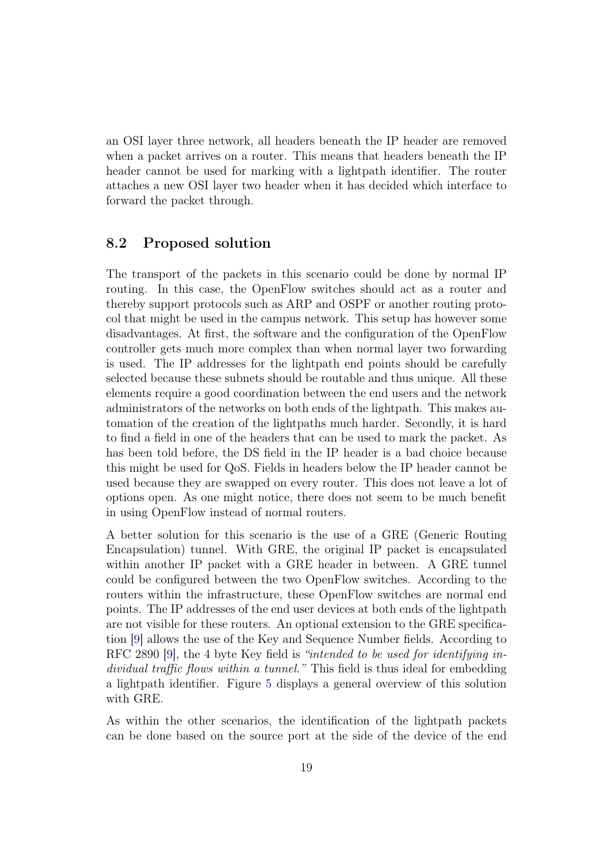an OSI layer three network, all headers beneath the IP header are removed when a packet arrives on a router. This means that headers beneath the IP header cannot be used for marking with a lightpath identifier. The router attaches a new OSI layer two header when it has decided which interface to forward the packet through.

#### <span id="page-19-0"></span>8.2 Proposed solution

The transport of the packets in this scenario could be done by normal IP routing. In this case, the OpenFlow switches should act as a router and thereby support protocols such as ARP and OSPF or another routing protocol that might be used in the campus network. This setup has however some disadvantages. At first, the software and the configuration of the OpenFlow controller gets much more complex than when normal layer two forwarding is used. The IP addresses for the lightpath end points should be carefully selected because these subnets should be routable and thus unique. All these elements require a good coordination between the end users and the network administrators of the networks on both ends of the lightpath. This makes automation of the creation of the lightpaths much harder. Secondly, it is hard to find a field in one of the headers that can be used to mark the packet. As has been told before, the DS field in the IP header is a bad choice because this might be used for QoS. Fields in headers below the IP header cannot be used because they are swapped on every router. This does not leave a lot of options open. As one might notice, there does not seem to be much benefit in using OpenFlow instead of normal routers.

A better solution for this scenario is the use of a GRE (Generic Routing Encapsulation) tunnel. With GRE, the original IP packet is encapsulated within another IP packet with a GRE header in between. A GRE tunnel could be configured between the two OpenFlow switches. According to the routers within the infrastructure, these OpenFlow switches are normal end points. The IP addresses of the end user devices at both ends of the lightpath are not visible for these routers. An optional extension to the GRE specification [\[9\]](#page-23-8) allows the use of the Key and Sequence Number fields. According to RFC 2890 [\[9\]](#page-23-8), the 4 byte Key field is "intended to be used for identifying individual traffic flows within a tunnel." This field is thus ideal for embedding a lightpath identifier. Figure [5](#page-20-1) displays a general overview of this solution with GRE.

As within the other scenarios, the identification of the lightpath packets can be done based on the source port at the side of the device of the end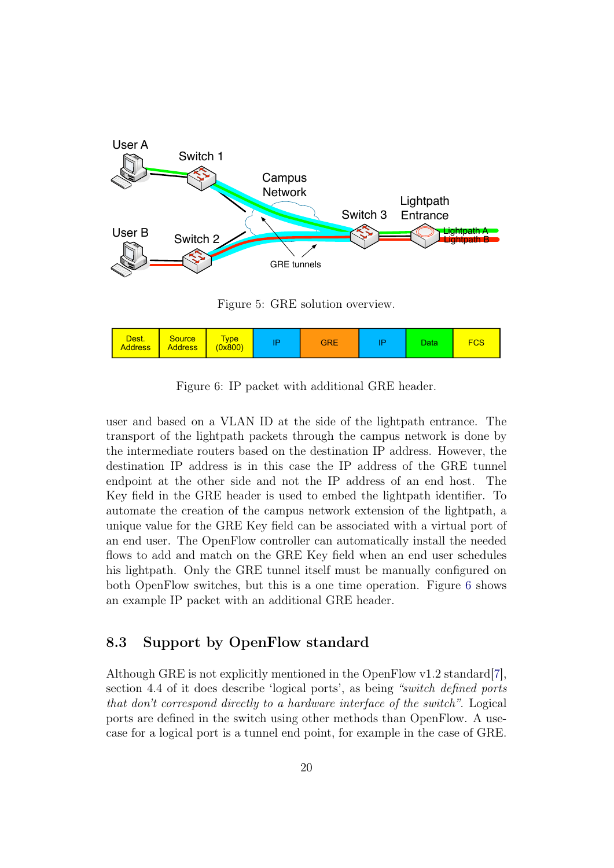

<span id="page-20-1"></span>Figure 5: GRE solution overview.

| Dest.<br><b>Address</b> | <b>Source</b><br><b>Address</b> | <b>Type</b><br>(0x800) | о | <b>GRE</b> | חו | Data | FCS |
|-------------------------|---------------------------------|------------------------|---|------------|----|------|-----|
|-------------------------|---------------------------------|------------------------|---|------------|----|------|-----|

<span id="page-20-2"></span>Figure 6: IP packet with additional GRE header.

user and based on a VLAN ID at the side of the lightpath entrance. The transport of the lightpath packets through the campus network is done by the intermediate routers based on the destination IP address. However, the destination IP address is in this case the IP address of the GRE tunnel endpoint at the other side and not the IP address of an end host. The Key field in the GRE header is used to embed the lightpath identifier. To automate the creation of the campus network extension of the lightpath, a unique value for the GRE Key field can be associated with a virtual port of an end user. The OpenFlow controller can automatically install the needed flows to add and match on the GRE Key field when an end user schedules his lightpath. Only the GRE tunnel itself must be manually configured on both OpenFlow switches, but this is a one time operation. Figure [6](#page-20-2) shows an example IP packet with an additional GRE header.

#### <span id="page-20-0"></span>8.3 Support by OpenFlow standard

section 4.4 of it does describe 'logical ports', as being "switch defined ports Although GRE is not explicitly mentioned in the OpenFlow v1.2 standard  $\vert 7 \vert$ , that don't correspond directly to a hardware interface of the switch". Logical ports are defined in the switch using other methods than OpenFlow. A usecase for a logical port is a tunnel end point, for example in the case of GRE.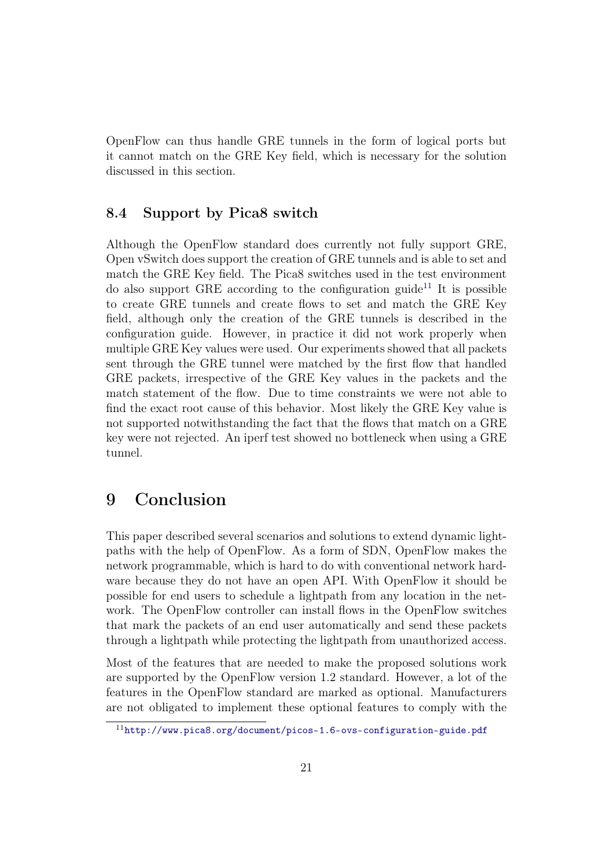OpenFlow can thus handle GRE tunnels in the form of logical ports but it cannot match on the GRE Key field, which is necessary for the solution discussed in this section.

#### <span id="page-21-0"></span>8.4 Support by Pica8 switch

Although the OpenFlow standard does currently not fully support GRE, Open vSwitch does support the creation of GRE tunnels and is able to set and match the GRE Key field. The Pica8 switches used in the test environment do also support GRE according to the configuration guide<sup>[11](#page-21-2)</sup> It is possible to create GRE tunnels and create flows to set and match the GRE Key field, although only the creation of the GRE tunnels is described in the configuration guide. However, in practice it did not work properly when multiple GRE Key values were used. Our experiments showed that all packets sent through the GRE tunnel were matched by the first flow that handled GRE packets, irrespective of the GRE Key values in the packets and the match statement of the flow. Due to time constraints we were not able to find the exact root cause of this behavior. Most likely the GRE Key value is not supported notwithstanding the fact that the flows that match on a GRE key were not rejected. An iperf test showed no bottleneck when using a GRE tunnel.

## <span id="page-21-1"></span>9 Conclusion

This paper described several scenarios and solutions to extend dynamic lightpaths with the help of OpenFlow. As a form of SDN, OpenFlow makes the network programmable, which is hard to do with conventional network hardware because they do not have an open API. With OpenFlow it should be possible for end users to schedule a lightpath from any location in the network. The OpenFlow controller can install flows in the OpenFlow switches that mark the packets of an end user automatically and send these packets through a lightpath while protecting the lightpath from unauthorized access.

Most of the features that are needed to make the proposed solutions work are supported by the OpenFlow version 1.2 standard. However, a lot of the features in the OpenFlow standard are marked as optional. Manufacturers are not obligated to implement these optional features to comply with the

<span id="page-21-2"></span><sup>11</sup><http://www.pica8.org/document/picos-1.6-ovs-configuration-guide.pdf>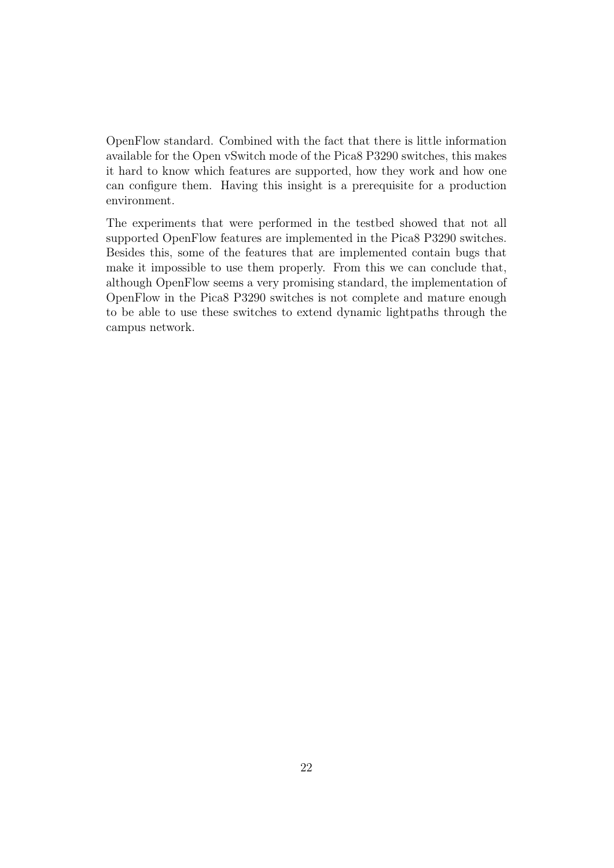OpenFlow standard. Combined with the fact that there is little information available for the Open vSwitch mode of the Pica8 P3290 switches, this makes it hard to know which features are supported, how they work and how one can configure them. Having this insight is a prerequisite for a production environment.

The experiments that were performed in the testbed showed that not all supported OpenFlow features are implemented in the Pica8 P3290 switches. Besides this, some of the features that are implemented contain bugs that make it impossible to use them properly. From this we can conclude that, although OpenFlow seems a very promising standard, the implementation of OpenFlow in the Pica8 P3290 switches is not complete and mature enough to be able to use these switches to extend dynamic lightpaths through the campus network.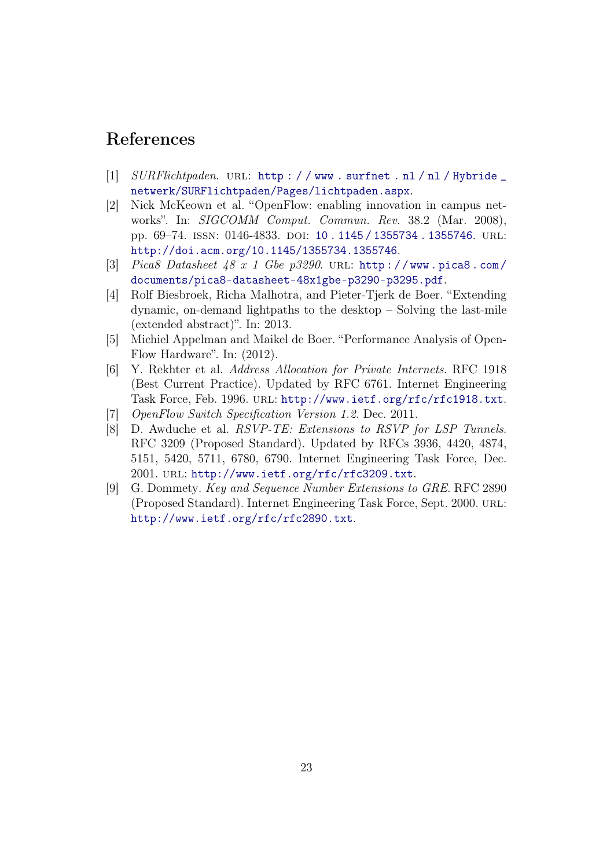### References

- <span id="page-23-0"></span>[1]  $SURFlichtpaden. \nURL: \n<http://www.surfnet.nl/nl/Hybridge>$ [netwerk/SURFlichtpaden/Pages/lichtpaden.aspx](http://www.surfnet.nl/nl/Hybride_netwerk/SURFlichtpaden/Pages/lichtpaden.aspx).
- <span id="page-23-1"></span>[2] Nick McKeown et al. "OpenFlow: enabling innovation in campus networks". In: SIGCOMM Comput. Commun. Rev. 38.2 (Mar. 2008), pp. 69–74. issn: 0146-4833. doi: [10 . 1145 / 1355734 . 1355746](http://dx.doi.org/10.1145/1355734.1355746). url: <http://doi.acm.org/10.1145/1355734.1355746>.
- <span id="page-23-2"></span>[3] Pica8 Datasheet  $48 \times 1$  Gbe  $p3290$ . URL: http://www.pica8.com/ [documents/pica8-datasheet-48x1gbe-p3290-p3295.pdf](http://www.pica8.com/documents/pica8-datasheet-48x1gbe-p3290-p3295.pdf).
- <span id="page-23-3"></span>[4] Rolf Biesbroek, Richa Malhotra, and Pieter-Tjerk de Boer. "Extending dynamic, on-demand lightpaths to the desktop – Solving the last-mile (extended abstract)". In: 2013.
- <span id="page-23-4"></span>[5] Michiel Appelman and Maikel de Boer. "Performance Analysis of Open-Flow Hardware". In: (2012).
- <span id="page-23-5"></span>[6] Y. Rekhter et al. Address Allocation for Private Internets. RFC 1918 (Best Current Practice). Updated by RFC 6761. Internet Engineering Task Force, Feb. 1996. url: <http://www.ietf.org/rfc/rfc1918.txt>.
- <span id="page-23-6"></span>[7] OpenFlow Switch Specification Version 1.2. Dec. 2011.
- <span id="page-23-7"></span>[8] D. Awduche et al. RSVP-TE: Extensions to RSVP for LSP Tunnels. RFC 3209 (Proposed Standard). Updated by RFCs 3936, 4420, 4874, 5151, 5420, 5711, 6780, 6790. Internet Engineering Task Force, Dec. 2001. url: <http://www.ietf.org/rfc/rfc3209.txt>.
- <span id="page-23-8"></span>[9] G. Dommety. Key and Sequence Number Extensions to GRE. RFC 2890 (Proposed Standard). Internet Engineering Task Force, Sept. 2000. url: <http://www.ietf.org/rfc/rfc2890.txt>.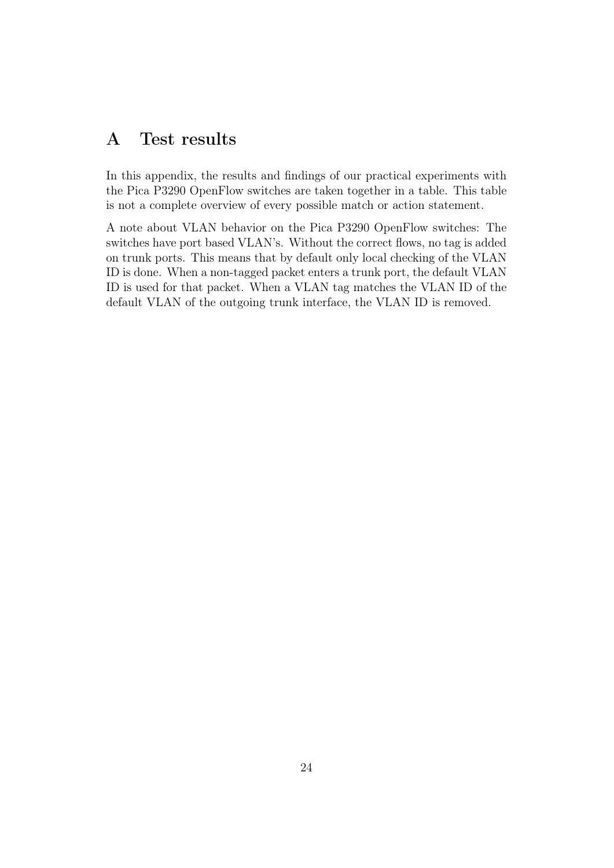### <span id="page-24-0"></span>A Test results

In this appendix, the results and findings of our practical experiments with the Pica P3290 OpenFlow switches are taken together in a table. This table is not a complete overview of every possible match or action statement.

A note about VLAN behavior on the Pica P3290 OpenFlow switches: The switches have port based VLAN's. Without the correct flows, no tag is added on trunk ports. This means that by default only local checking of the VLAN ID is done. When a non-tagged packet enters a trunk port, the default VLAN ID is used for that packet. When a VLAN tag matches the VLAN ID of the default VLAN of the outgoing trunk interface, the VLAN ID is removed.